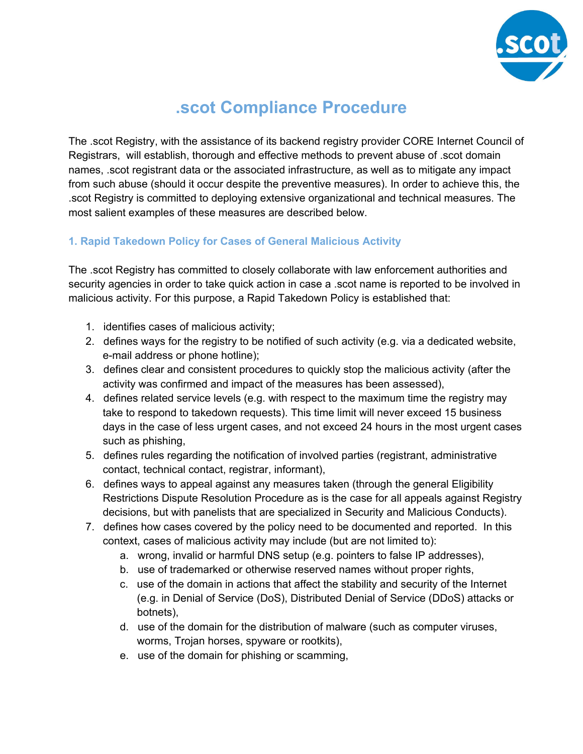

# **.scot Compliance Procedure**

The .scot Registry, with the assistance of its backend registry provider CORE Internet Council of Registrars, will establish, thorough and effective methods to prevent abuse of .scot domain names, .scot registrant data or the associated infrastructure, as well as to mitigate any impact from such abuse (should it occur despite the preventive measures). In order to achieve this, the .scot Registry is committed to deploying extensive organizational and technical measures. The most salient examples of these measures are described below.

## **1. Rapid Takedown Policy for Cases of General Malicious Activity**

The .scot Registry has committed to closely collaborate with law enforcement authorities and security agencies in order to take quick action in case a .scot name is reported to be involved in malicious activity. For this purpose, a Rapid Takedown Policy is established that:

- 1. identifies cases of malicious activity;
- 2. defines ways for the registry to be notified of such activity (e.g. via a dedicated website, e-mail address or phone hotline);
- 3. defines clear and consistent procedures to quickly stop the malicious activity (after the activity was confirmed and impact of the measures has been assessed),
- 4. defines related service levels (e.g. with respect to the maximum time the registry may take to respond to takedown requests). This time limit will never exceed 15 business days in the case of less urgent cases, and not exceed 24 hours in the most urgent cases such as phishing,
- 5. defines rules regarding the notification of involved parties (registrant, administrative contact, technical contact, registrar, informant),
- 6. defines ways to appeal against any measures taken (through the general Eligibility Restrictions Dispute Resolution Procedure as is the case for all appeals against Registry decisions, but with panelists that are specialized in Security and Malicious Conducts).
- 7. defines how cases covered by the policy need to be documented and reported. In this context, cases of malicious activity may include (but are not limited to):
	- a. wrong, invalid or harmful DNS setup (e.g. pointers to false IP addresses),
	- b. use of trademarked or otherwise reserved names without proper rights,
	- c. use of the domain in actions that affect the stability and security of the Internet (e.g. in Denial of Service (DoS), Distributed Denial of Service (DDoS) attacks or botnets),
	- d. use of the domain for the distribution of malware (such as computer viruses, worms, Trojan horses, spyware or rootkits),
	- e. use of the domain for phishing or scamming,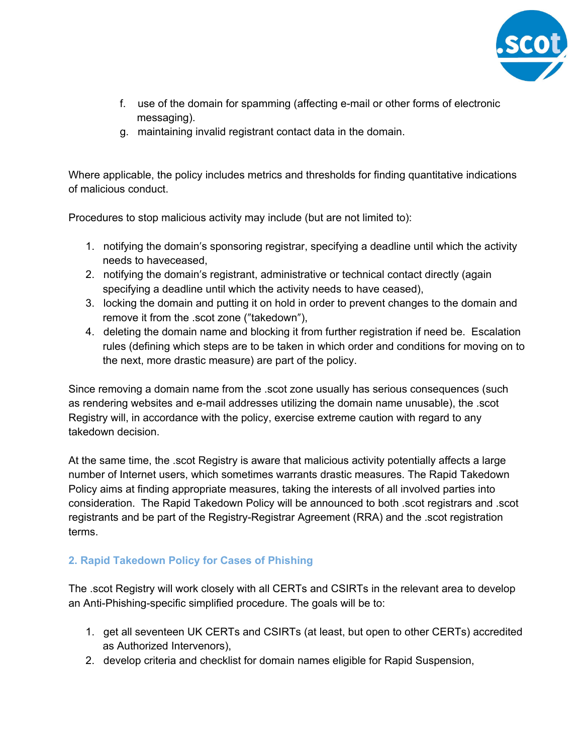

- f. use of the domain for spamming (affecting e-mail or other forms of electronic messaging).
- g. maintaining invalid registrant contact data in the domain.

Where applicable, the policy includes metrics and thresholds for finding quantitative indications of malicious conduct.

Procedures to stop malicious activity may include (but are not limited to):

- 1. notifying the domainʹs sponsoring registrar, specifying a deadline until which the activity needs to haveceased,
- 2. notifying the domainʹs registrant, administrative or technical contact directly (again specifying a deadline until which the activity needs to have ceased),
- 3. locking the domain and putting it on hold in order to prevent changes to the domain and remove it from the .scot zone ("takedown"),
- 4. deleting the domain name and blocking it from further registration if need be. Escalation rules (defining which steps are to be taken in which order and conditions for moving on to the next, more drastic measure) are part of the policy.

Since removing a domain name from the .scot zone usually has serious consequences (such as rendering websites and e-mail addresses utilizing the domain name unusable), the .scot Registry will, in accordance with the policy, exercise extreme caution with regard to any takedown decision.

At the same time, the .scot Registry is aware that malicious activity potentially affects a large number of Internet users, which sometimes warrants drastic measures. The Rapid Takedown Policy aims at finding appropriate measures, taking the interests of all involved parties into consideration. The Rapid Takedown Policy will be announced to both .scot registrars and .scot registrants and be part of the Registry-Registrar Agreement (RRA) and the .scot registration terms.

## **2. Rapid Takedown Policy for Cases of Phishing**

The .scot Registry will work closely with all CERTs and CSIRTs in the relevant area to develop an Anti-Phishing-specific simplified procedure. The goals will be to:

- 1. get all seventeen UK CERTs and CSIRTs (at least, but open to other CERTs) accredited as Authorized Intervenors),
- 2. develop criteria and checklist for domain names eligible for Rapid Suspension,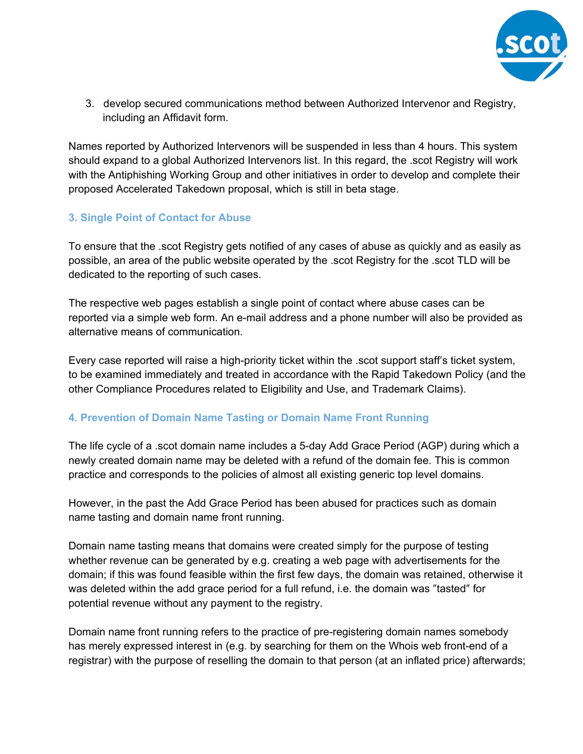

3. develop secured communications method between Authorized Intervenor and Registry, including an Affidavit form.

Names reported by Authorized Intervenors will be suspended in less than 4 hours. This system should expand to a global Authorized Intervenors list. In this regard, the .scot Registry will work with the Antiphishing Working Group and other initiatives in order to develop and complete their proposed Accelerated Takedown proposal, which is still in beta stage.

## **3. Single Point of Contact for Abuse**

To ensure that the .scot Registry gets notified of any cases of abuse as quickly and as easily as possible, an area of the public website operated by the .scot Registry for the .scot TLD will be dedicated to the reporting of such cases.

The respective web pages establish a single point of contact where abuse cases can be reported via a simple web form. An e-mail address and a phone number will also be provided as alternative means of communication.

Every case reported will raise a high-priority ticket within the .scot support staff's ticket system, to be examined immediately and treated in accordance with the Rapid Takedown Policy (and the other Compliance Procedures related to Eligibility and Use, and Trademark Claims).

## **4. Prevention of Domain Name Tasting or Domain Name Front Running**

The life cycle of a .scot domain name includes a 5-day Add Grace Period (AGP) during which a newly created domain name may be deleted with a refund of the domain fee. This is common practice and corresponds to the policies of almost all existing generic top level domains.

However, in the past the Add Grace Period has been abused for practices such as domain name tasting and domain name front running.

Domain name tasting means that domains were created simply for the purpose of testing whether revenue can be generated by e.g. creating a web page with advertisements for the domain; if this was found feasible within the first few days, the domain was retained, otherwise it was deleted within the add grace period for a full refund, i.e. the domain was "tasted" for potential revenue without any payment to the registry.

Domain name front running refers to the practice of pre-registering domain names somebody has merely expressed interest in (e.g. by searching for them on the Whois web front-end of a registrar) with the purpose of reselling the domain to that person (at an inflated price) afterwards;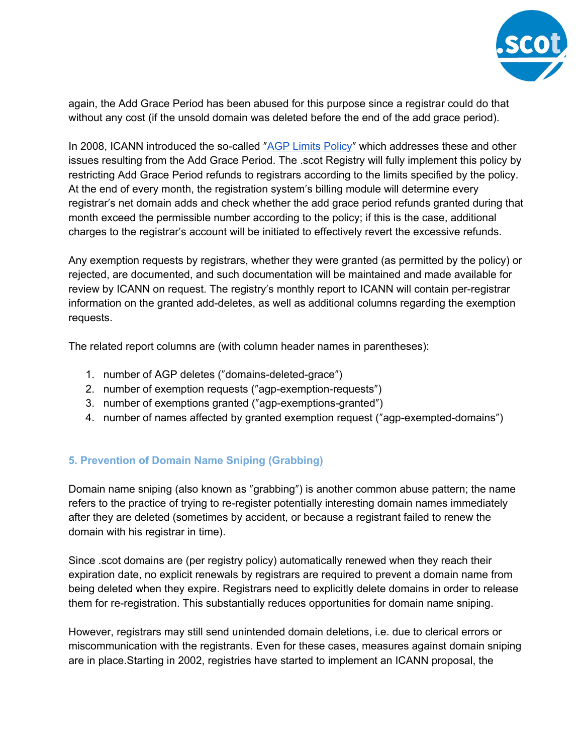

again, the Add Grace Period has been abused for this purpose since a registrar could do that without any cost (if the unsold domain was deleted before the end of the add grace period).

In 2008, ICANN introduced the so-called "AGP Limits [Policy](https://www.google.com/url?q=https%3A%2F%2Fwww.icann.org%2Fresources%2Fpages%2Fagp-policy-2008-12-17-en&sa=D&sntz=1&usg=AFQjCNGOJqGrJDqTCevrp0NiNBV0CY-Y8g)" which addresses these and other issues resulting from the Add Grace Period. The .scot Registry will fully implement this policy by restricting Add Grace Period refunds to registrars according to the limits specified by the policy. At the end of every month, the registration systemʹs billing module will determine every registrarʹs net domain adds and check whether the add grace period refunds granted during that month exceed the permissible number according to the policy; if this is the case, additional charges to the registrarʹs account will be initiated to effectively revert the excessive refunds.

Any exemption requests by registrars, whether they were granted (as permitted by the policy) or rejected, are documented, and such documentation will be maintained and made available for review by ICANN on request. The registry's monthly report to ICANN will contain per-registrar information on the granted add-deletes, as well as additional columns regarding the exemption requests.

The related report columns are (with column header names in parentheses):

- 1. number of AGP deletes ("domains-deleted-grace")
- 2. number of exemption requests ("agp-exemption-requests")
- 3. number of exemptions granted ("agp-exemptions-granted")
- 4. number of names affected by granted exemption request ("agp-exempted-domains")

## **5. Prevention of Domain Name Sniping (Grabbing)**

Domain name sniping (also known as "grabbing") is another common abuse pattern; the name refers to the practice of trying to re-register potentially interesting domain names immediately after they are deleted (sometimes by accident, or because a registrant failed to renew the domain with his registrar in time).

Since .scot domains are (per registry policy) automatically renewed when they reach their expiration date, no explicit renewals by registrars are required to prevent a domain name from being deleted when they expire. Registrars need to explicitly delete domains in order to release them for re-registration. This substantially reduces opportunities for domain name sniping.

However, registrars may still send unintended domain deletions, i.e. due to clerical errors or miscommunication with the registrants. Even for these cases, measures against domain sniping are in place.Starting in 2002, registries have started to implement an ICANN proposal, the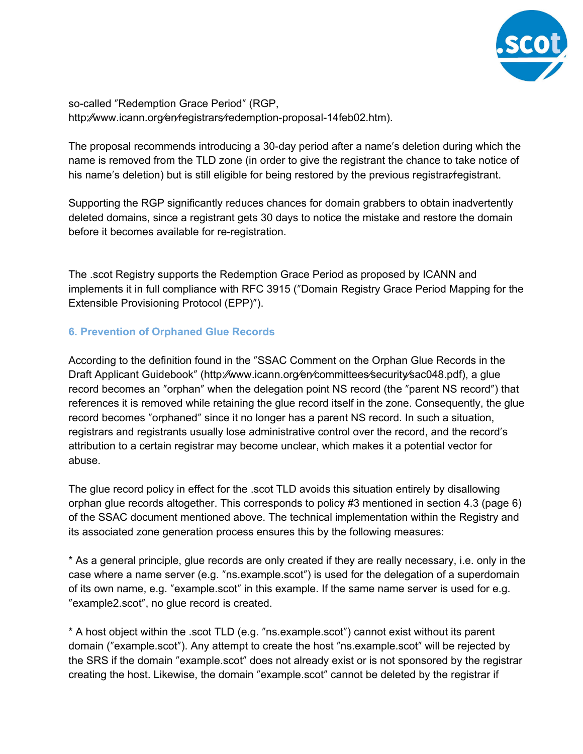

so-called "Redemption Grace Period" (RGP, http://www.icann.org/en/registrars/redemption-proposal-14feb02.htm).

The proposal recommends introducing a 30-day period after a name's deletion during which the name is removed from the TLD zone (in order to give the registrant the chance to take notice of his name's deletion) but is still eligible for being restored by the previous registrar∕registrant.

Supporting the RGP significantly reduces chances for domain grabbers to obtain inadvertently deleted domains, since a registrant gets 30 days to notice the mistake and restore the domain before it becomes available for re-registration.

The .scot Registry supports the Redemption Grace Period as proposed by ICANN and implements it in full compliance with RFC 3915 ("Domain Registry Grace Period Mapping for the Extensible Provisioning Protocol (EPP)").

### **6. Prevention of Orphaned Glue Records**

According to the definition found in the "SSAC Comment on the Orphan Glue Records in the Draft Applicant Guidebook" (http://www.icann.org/en/committees∕security/sac048.pdf), a glue record becomes an "orphan" when the delegation point NS record (the "parent NS record") that references it is removed while retaining the glue record itself in the zone. Consequently, the glue record becomes "orphaned" since it no longer has a parent NS record. In such a situation, registrars and registrants usually lose administrative control over the record, and the recordʹs attribution to a certain registrar may become unclear, which makes it a potential vector for abuse.

The glue record policy in effect for the .scot TLD avoids this situation entirely by disallowing orphan glue records altogether. This corresponds to policy #3 mentioned in section 4.3 (page 6) of the SSAC document mentioned above. The technical implementation within the Registry and its associated zone generation process ensures this by the following measures:

\* As a general principle, glue records are only created if they are really necessary, i.e. only in the case where a name server (e.g. "ns.example.scot") is used for the delegation of a superdomain of its own name, e.g. "example.scot" in this example. If the same name server is used for e.g. "example2.scot", no glue record is created.

\* A host object within the .scot TLD (e.g. "ns.example.scot") cannot exist without its parent domain ("example.scot"). Any attempt to create the host "ns.example.scot" will be rejected by the SRS if the domain "example.scot" does not already exist or is not sponsored by the registrar creating the host. Likewise, the domain "example.scot" cannot be deleted by the registrar if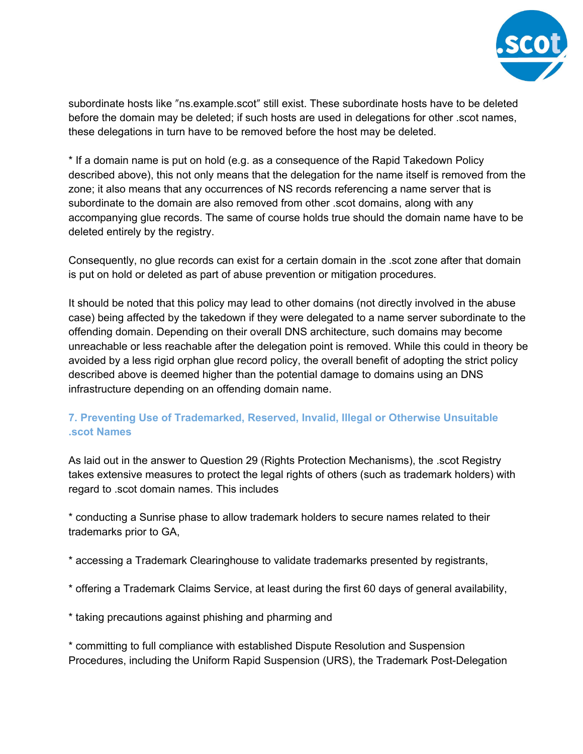

subordinate hosts like "ns.example.scot" still exist. These subordinate hosts have to be deleted before the domain may be deleted; if such hosts are used in delegations for other .scot names, these delegations in turn have to be removed before the host may be deleted.

\* If a domain name is put on hold (e.g. as a consequence of the Rapid Takedown Policy described above), this not only means that the delegation for the name itself is removed from the zone; it also means that any occurrences of NS records referencing a name server that is subordinate to the domain are also removed from other .scot domains, along with any accompanying glue records. The same of course holds true should the domain name have to be deleted entirely by the registry.

Consequently, no glue records can exist for a certain domain in the .scot zone after that domain is put on hold or deleted as part of abuse prevention or mitigation procedures.

It should be noted that this policy may lead to other domains (not directly involved in the abuse case) being affected by the takedown if they were delegated to a name server subordinate to the offending domain. Depending on their overall DNS architecture, such domains may become unreachable or less reachable after the delegation point is removed. While this could in theory be avoided by a less rigid orphan glue record policy, the overall benefit of adopting the strict policy described above is deemed higher than the potential damage to domains using an DNS infrastructure depending on an offending domain name.

## **7. Preventing Use of Trademarked, Reserved, Invalid, Illegal or Otherwise Unsuitable .scot Names**

As laid out in the answer to Question 29 (Rights Protection Mechanisms), the .scot Registry takes extensive measures to protect the legal rights of others (such as trademark holders) with regard to .scot domain names. This includes

\* conducting a Sunrise phase to allow trademark holders to secure names related to their trademarks prior to GA,

- \* accessing a Trademark Clearinghouse to validate trademarks presented by registrants,
- \* offering a Trademark Claims Service, at least during the first 60 days of general availability,
- \* taking precautions against phishing and pharming and

\* committing to full compliance with established Dispute Resolution and Suspension Procedures, including the Uniform Rapid Suspension (URS), the Trademark Post-Delegation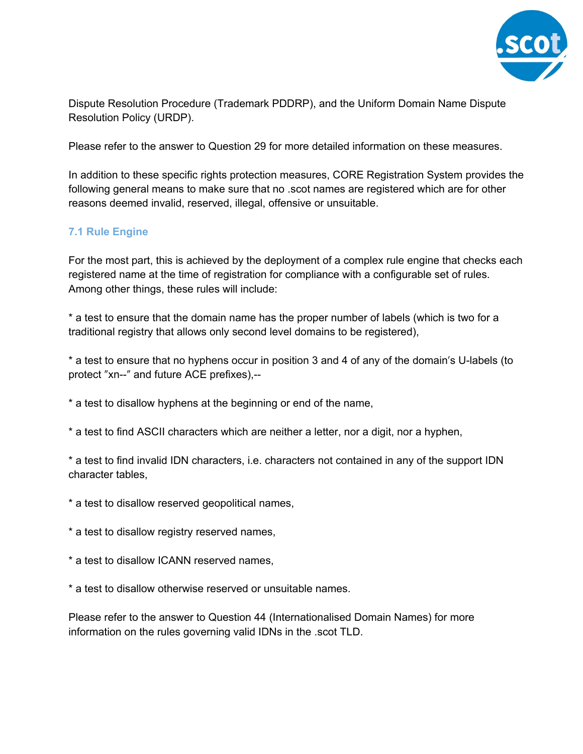

Dispute Resolution Procedure (Trademark PDDRP), and the Uniform Domain Name Dispute Resolution Policy (URDP).

Please refer to the answer to Question 29 for more detailed information on these measures.

In addition to these specific rights protection measures, CORE Registration System provides the following general means to make sure that no .scot names are registered which are for other reasons deemed invalid, reserved, illegal, offensive or unsuitable.

#### **7.1 Rule Engine**

For the most part, this is achieved by the deployment of a complex rule engine that checks each registered name at the time of registration for compliance with a configurable set of rules. Among other things, these rules will include:

\* a test to ensure that the domain name has the proper number of labels (which is two for a traditional registry that allows only second level domains to be registered),

\* a test to ensure that no hyphens occur in position 3 and 4 of any of the domain's U-labels (to protect "xn--" and future ACE prefixes),--

\* a test to disallow hyphens at the beginning or end of the name,

\* a test to find ASCII characters which are neither a letter, nor a digit, nor a hyphen,

\* a test to find invalid IDN characters, i.e. characters not contained in any of the support IDN character tables,

- \* a test to disallow reserved geopolitical names,
- \* a test to disallow registry reserved names,
- \* a test to disallow ICANN reserved names,
- \* a test to disallow otherwise reserved or unsuitable names.

Please refer to the answer to Question 44 (Internationalised Domain Names) for more information on the rules governing valid IDNs in the .scot TLD.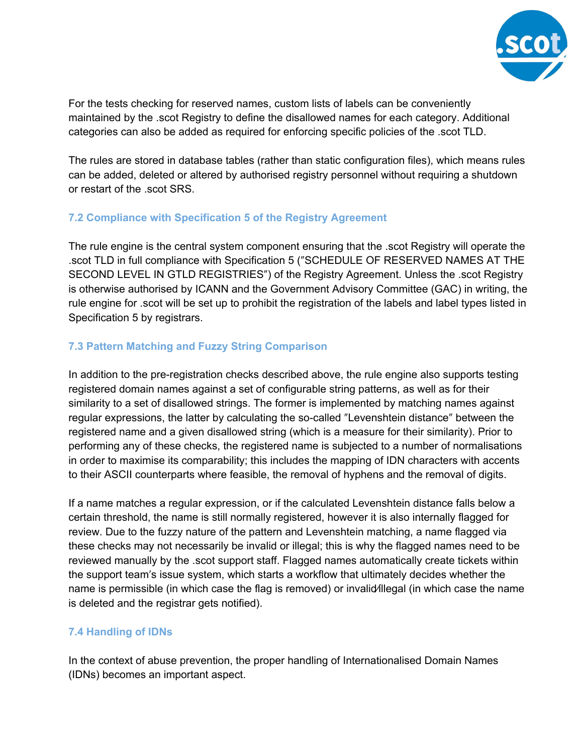

For the tests checking for reserved names, custom lists of labels can be conveniently maintained by the .scot Registry to define the disallowed names for each category. Additional categories can also be added as required for enforcing specific policies of the .scot TLD.

The rules are stored in database tables (rather than static configuration files), which means rules can be added, deleted or altered by authorised registry personnel without requiring a shutdown or restart of the .scot SRS.

### **7.2 Compliance with Specification 5 of the Registry Agreement**

The rule engine is the central system component ensuring that the .scot Registry will operate the .scot TLD in full compliance with Specification 5 ("SCHEDULE OF RESERVED NAMES AT THE SECOND LEVEL IN GTLD REGISTRIES<sup>"</sup>) of the Registry Agreement. Unless the .scot Registry is otherwise authorised by ICANN and the Government Advisory Committee (GAC) in writing, the rule engine for .scot will be set up to prohibit the registration of the labels and label types listed in Specification 5 by registrars.

## **7.3 Pattern Matching and Fuzzy String Comparison**

In addition to the pre-registration checks described above, the rule engine also supports testing registered domain names against a set of configurable string patterns, as well as for their similarity to a set of disallowed strings. The former is implemented by matching names against regular expressions, the latter by calculating the so-called "Levenshtein distance" between the registered name and a given disallowed string (which is a measure for their similarity). Prior to performing any of these checks, the registered name is subjected to a number of normalisations in order to maximise its comparability; this includes the mapping of IDN characters with accents to their ASCII counterparts where feasible, the removal of hyphens and the removal of digits.

If a name matches a regular expression, or if the calculated Levenshtein distance falls below a certain threshold, the name is still normally registered, however it is also internally flagged for review. Due to the fuzzy nature of the pattern and Levenshtein matching, a name flagged via these checks may not necessarily be invalid or illegal; this is why the flagged names need to be reviewed manually by the .scot support staff. Flagged names automatically create tickets within the support teamʹs issue system, which starts a workflow that ultimately decides whether the name is permissible (in which case the flag is removed) or invalid∕illegal (in which case the name is deleted and the registrar gets notified).

#### **7.4 Handling of IDNs**

In the context of abuse prevention, the proper handling of Internationalised Domain Names (IDNs) becomes an important aspect.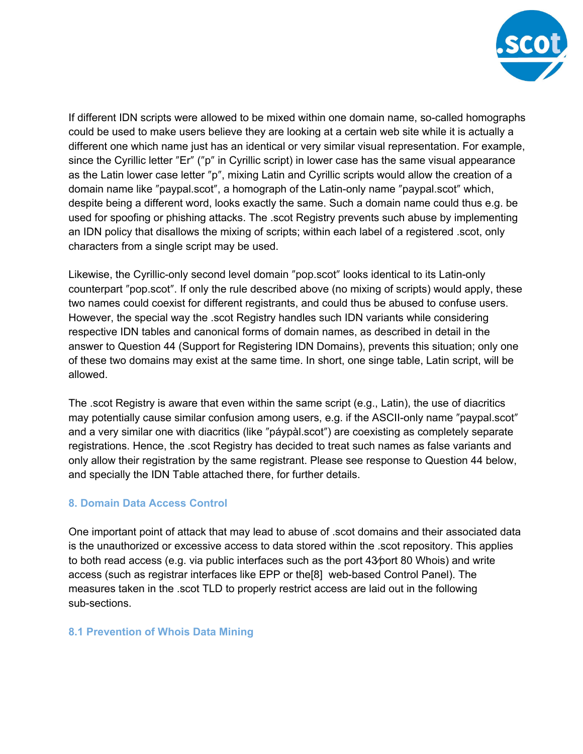

If different IDN scripts were allowed to be mixed within one domain name, so-called homographs could be used to make users believe they are looking at a certain web site while it is actually a different one which name just has an identical or very similar visual representation. For example, since the Cyrillic letter "Er" ("p" in Cyrillic script) in lower case has the same visual appearance as the Latin lower case letter "p", mixing Latin and Cyrillic scripts would allow the creation of a domain name like "paypal.scot", a homograph of the Latin-only name "paypal.scot" which, despite being a different word, looks exactly the same. Such a domain name could thus e.g. be used for spoofing or phishing attacks. The .scot Registry prevents such abuse by implementing an IDN policy that disallows the mixing of scripts; within each label of a registered .scot, only characters from a single script may be used.

Likewise, the Cyrillic-only second level domain "pop.scot" looks identical to its Latin-only counterpart "pop.scot". If only the rule described above (no mixing of scripts) would apply, these two names could coexist for different registrants, and could thus be abused to confuse users. However, the special way the .scot Registry handles such IDN variants while considering respective IDN tables and canonical forms of domain names, as described in detail in the answer to Question 44 (Support for Registering IDN Domains), prevents this situation; only one of these two domains may exist at the same time. In short, one singe table, Latin script, will be allowed.

The .scot Registry is aware that even within the same script (e.g., Latin), the use of diacritics may potentially cause similar confusion among users, e.g. if the ASCII-only name "paypal.scot" and a very similar one with diacritics (like "páypàl.scot") are coexisting as completely separate registrations. Hence, the .scot Registry has decided to treat such names as false variants and only allow their registration by the same registrant. Please see response to Question 44 below, and specially the IDN Table attached there, for further details.

#### **8. Domain Data Access Control**

One important point of attack that may lead to abuse of .scot domains and their associated data is the unauthorized or excessive access to data stored within the .scot repository. This applies to both read access (e.g. via public interfaces such as the port 43∕port 80 Whois) and write access (such as registrar interfaces like EPP or the[8] web-based Control Panel). The measures taken in the .scot TLD to properly restrict access are laid out in the following sub-sections.

#### **8.1 Prevention of Whois Data Mining**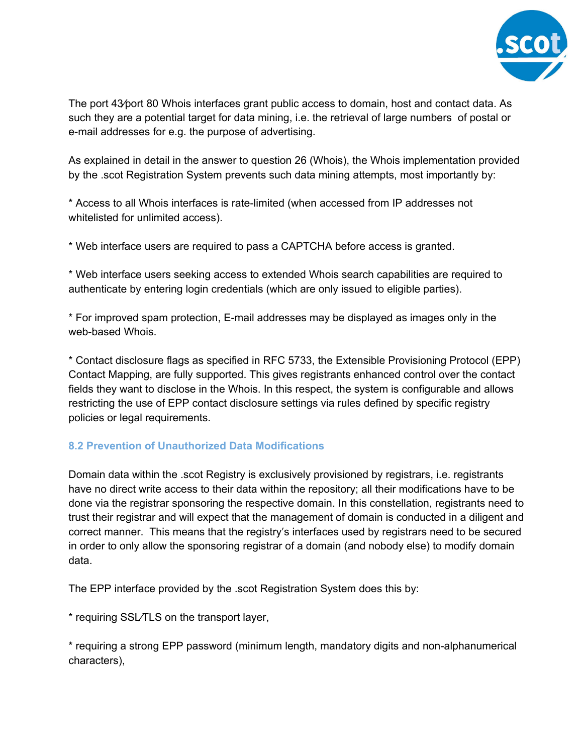

The port 43∕port 80 Whois interfaces grant public access to domain, host and contact data. As such they are a potential target for data mining, i.e. the retrieval of large numbers of postal or e-mail addresses for e.g. the purpose of advertising.

As explained in detail in the answer to question 26 (Whois), the Whois implementation provided by the .scot Registration System prevents such data mining attempts, most importantly by:

\* Access to all Whois interfaces is ratelimited (when accessed from IP addresses not whitelisted for unlimited access).

\* Web interface users are required to pass a CAPTCHA before access is granted.

\* Web interface users seeking access to extended Whois search capabilities are required to authenticate by entering login credentials (which are only issued to eligible parties).

\* For improved spam protection, E-mail addresses may be displayed as images only in the web-based Whois.

\* Contact disclosure flags as specified in RFC 5733, the Extensible Provisioning Protocol (EPP) Contact Mapping, are fully supported. This gives registrants enhanced control over the contact fields they want to disclose in the Whois. In this respect, the system is configurable and allows restricting the use of EPP contact disclosure settings via rules defined by specific registry policies or legal requirements.

## **8.2 Prevention of Unauthorized Data Modifications**

Domain data within the .scot Registry is exclusively provisioned by registrars, i.e. registrants have no direct write access to their data within the repository; all their modifications have to be done via the registrar sponsoring the respective domain. In this constellation, registrants need to trust their registrar and will expect that the management of domain is conducted in a diligent and correct manner. This means that the registryʹs interfaces used by registrars need to be secured in order to only allow the sponsoring registrar of a domain (and nobody else) to modify domain data.

The EPP interface provided by the .scot Registration System does this by:

\* requiring SSL∕TLS on the transport layer,

\* requiring a strong EPP password (minimum length, mandatory digits and non-alphanumerical characters),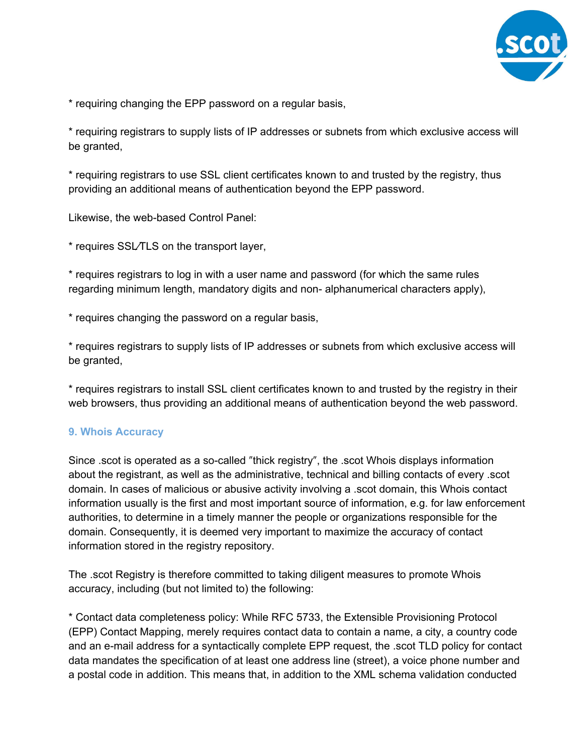

\* requiring changing the EPP password on a regular basis,

\* requiring registrars to supply lists of IP addresses or subnets from which exclusive access will be granted,

\* requiring registrars to use SSL client certificates known to and trusted by the registry, thus providing an additional means of authentication beyond the EPP password.

Likewise, the web-based Control Panel:

\* requires SSL∕TLS on the transport layer,

\* requires registrars to log in with a user name and password (for which the same rules regarding minimum length, mandatory digits and non-alphanumerical characters apply),

\* requires changing the password on a regular basis,

\* requires registrars to supply lists of IP addresses or subnets from which exclusive access will be granted,

\* requires registrars to install SSL client certificates known to and trusted by the registry in their web browsers, thus providing an additional means of authentication beyond the web password.

#### **9. Whois Accuracy**

Since .scot is operated as a so-called "thick registry", the .scot Whois displays information about the registrant, as well as the administrative, technical and billing contacts of every .scot domain. In cases of malicious or abusive activity involving a .scot domain, this Whois contact information usually is the first and most important source of information, e.g. for law enforcement authorities, to determine in a timely manner the people or organizations responsible for the domain. Consequently, it is deemed very important to maximize the accuracy of contact information stored in the registry repository.

The .scot Registry is therefore committed to taking diligent measures to promote Whois accuracy, including (but not limited to) the following:

\* Contact data completeness policy: While RFC 5733, the Extensible Provisioning Protocol (EPP) Contact Mapping, merely requires contact data to contain a name, a city, a country code and an e-mail address for a syntactically complete EPP request, the .scot TLD policy for contact data mandates the specification of at least one address line (street), a voice phone number and a postal code in addition. This means that, in addition to the XML schema validation conducted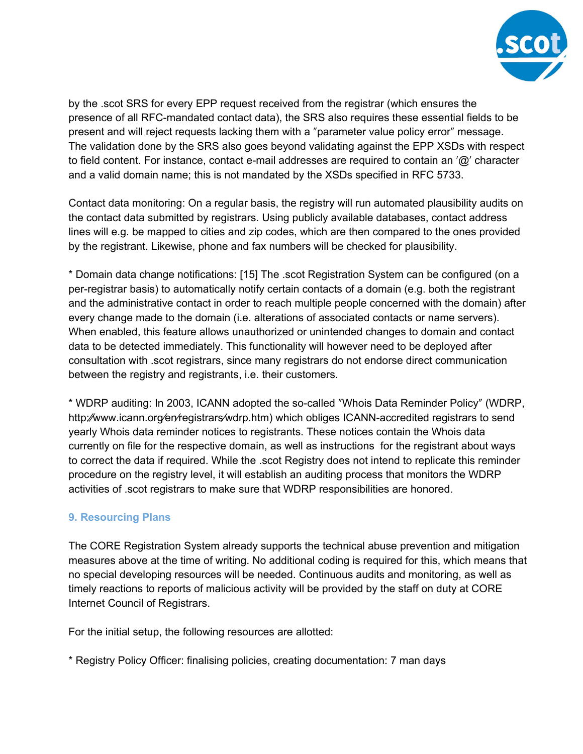

by the .scot SRS for every EPP request received from the registrar (which ensures the presence of all RFC-mandated contact data), the SRS also requires these essential fields to be present and will reject requests lacking them with a "parameter value policy error" message. The validation done by the SRS also goes beyond validating against the EPP XSDs with respect to field content. For instance, contact e-mail addresses are required to contain an  $\langle \omega \rangle$  character and a valid domain name; this is not mandated by the XSDs specified in RFC 5733.

Contact data monitoring: On a regular basis, the registry will run automated plausibility audits on the contact data submitted by registrars. Using publicly available databases, contact address lines will e.g. be mapped to cities and zip codes, which are then compared to the ones provided by the registrant. Likewise, phone and fax numbers will be checked for plausibility.

\* Domain data change notifications: [15] The .scot Registration System can be configured (on a perregistrar basis) to automatically notify certain contacts of a domain (e.g. both the registrant and the administrative contact in order to reach multiple people concerned with the domain) after every change made to the domain (i.e. alterations of associated contacts or name servers). When enabled, this feature allows unauthorized or unintended changes to domain and contact data to be detected immediately. This functionality will however need to be deployed after consultation with .scot registrars, since many registrars do not endorse direct communication between the registry and registrants, i.e. their customers.

\* WDRP auditing: In 2003, ICANN adopted the so-called "Whois Data Reminder Policy" (WDRP, http:⁄/www.icann.org⁄en⁄registrars∕wdrp.htm) which obliges ICANN-accredited registrars to send yearly Whois data reminder notices to registrants. These notices contain the Whois data currently on file for the respective domain, as well as instructions for the registrant about ways to correct the data if required. While the .scot Registry does not intend to replicate this reminder procedure on the registry level, it will establish an auditing process that monitors the WDRP activities of .scot registrars to make sure that WDRP responsibilities are honored.

## **9. Resourcing Plans**

The CORE Registration System already supports the technical abuse prevention and mitigation measures above at the time of writing. No additional coding is required for this, which means that no special developing resources will be needed. Continuous audits and monitoring, as well as timely reactions to reports of malicious activity will be provided by the staff on duty at CORE Internet Council of Registrars.

For the initial setup, the following resources are allotted:

\* Registry Policy Officer: finalising policies, creating documentation: 7 man days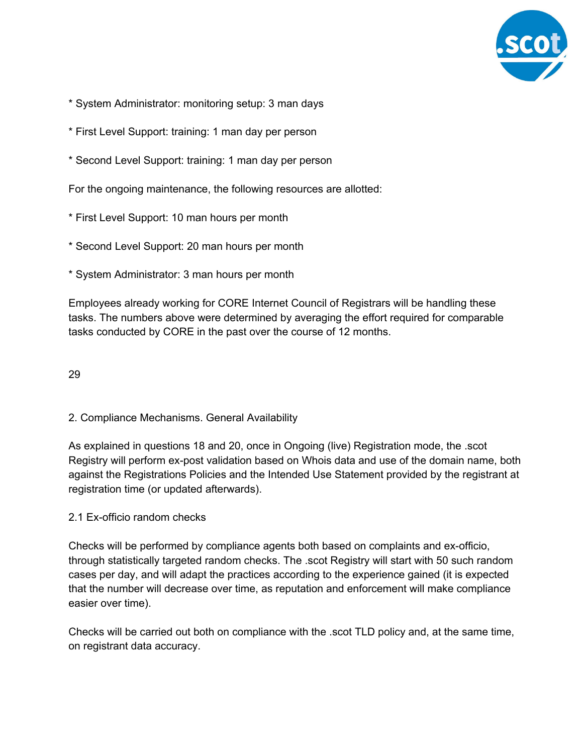

- \* System Administrator: monitoring setup: 3 man days
- \* First Level Support: training: 1 man day per person
- \* Second Level Support: training: 1 man day per person

For the ongoing maintenance, the following resources are allotted:

- \* First Level Support: 10 man hours per month
- \* Second Level Support: 20 man hours per month
- \* System Administrator: 3 man hours per month

Employees already working for CORE Internet Council of Registrars will be handling these tasks. The numbers above were determined by averaging the effort required for comparable tasks conducted by CORE in the past over the course of 12 months.

29

#### 2. Compliance Mechanisms. General Availability

As explained in questions 18 and 20, once in Ongoing (live) Registration mode, the .scot Registry will perform ex-post validation based on Whois data and use of the domain name, both against the Registrations Policies and the Intended Use Statement provided by the registrant at registration time (or updated afterwards).

#### 2.1 Ex-officio random checks

Checks will be performed by compliance agents both based on complaints and ex-officio, through statistically targeted random checks. The .scot Registry will start with 50 such random cases per day, and will adapt the practices according to the experience gained (it is expected that the number will decrease over time, as reputation and enforcement will make compliance easier over time).

Checks will be carried out both on compliance with the .scot TLD policy and, at the same time, on registrant data accuracy.